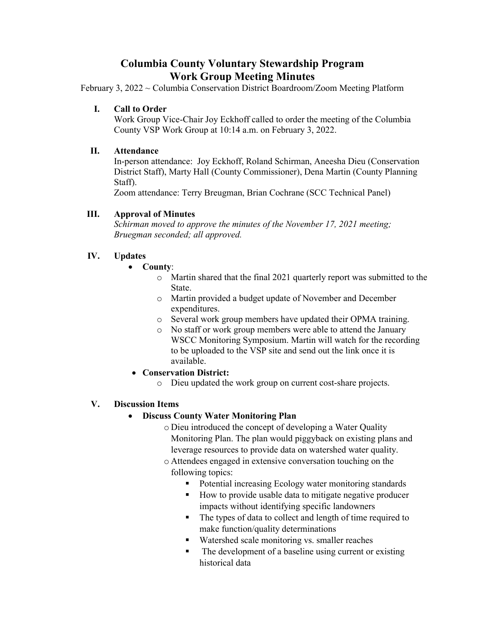## **Columbia County Voluntary Stewardship Program Work Group Meeting Minutes**

February 3, 2022 ~ Columbia Conservation District Boardroom/Zoom Meeting Platform

#### **I. Call to Order**

Work Group Vice-Chair Joy Eckhoff called to order the meeting of the Columbia County VSP Work Group at 10:14 a.m. on February 3, 2022.

#### **II. Attendance**

In-person attendance: Joy Eckhoff, Roland Schirman, Aneesha Dieu (Conservation District Staff), Marty Hall (County Commissioner), Dena Martin (County Planning Staff).

Zoom attendance: Terry Breugman, Brian Cochrane (SCC Technical Panel)

#### **III. Approval of Minutes**

*Schirman moved to approve the minutes of the November 17, 2021 meeting; Bruegman seconded; all approved.* 

#### **IV. Updates**

#### • **County**:

- o Martin shared that the final 2021 quarterly report was submitted to the State.
- o Martin provided a budget update of November and December expenditures.
- o Several work group members have updated their OPMA training.
- o No staff or work group members were able to attend the January WSCC Monitoring Symposium. Martin will watch for the recording to be uploaded to the VSP site and send out the link once it is available.
- **Conservation District:** 
	- o Dieu updated the work group on current cost-share projects.

#### **V. Discussion Items**

#### • **Discuss County Water Monitoring Plan**

- o Dieu introduced the concept of developing a Water Quality Monitoring Plan. The plan would piggyback on existing plans and leverage resources to provide data on watershed water quality.
- o Attendees engaged in extensive conversation touching on the following topics:
	- Potential increasing Ecology water monitoring standards
	- How to provide usable data to mitigate negative producer impacts without identifying specific landowners
	- The types of data to collect and length of time required to make function/quality determinations
	- Watershed scale monitoring vs. smaller reaches
	- The development of a baseline using current or existing historical data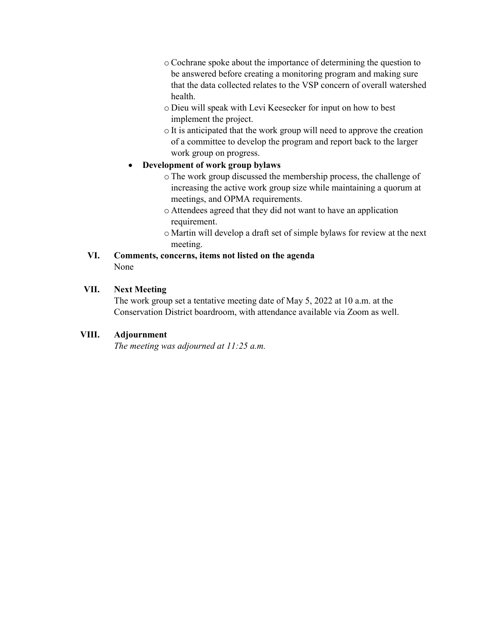- o Cochrane spoke about the importance of determining the question to be answered before creating a monitoring program and making sure that the data collected relates to the VSP concern of overall watershed health.
- o Dieu will speak with Levi Keesecker for input on how to best implement the project.
- o It is anticipated that the work group will need to approve the creation of a committee to develop the program and report back to the larger work group on progress.

#### • **Development of work group bylaws**

- o The work group discussed the membership process, the challenge of increasing the active work group size while maintaining a quorum at meetings, and OPMA requirements.
- o Attendees agreed that they did not want to have an application requirement.
- o Martin will develop a draft set of simple bylaws for review at the next meeting.

#### **VI. Comments, concerns, items not listed on the agenda**  None

#### **VII. Next Meeting**

The work group set a tentative meeting date of May 5, 2022 at 10 a.m. at the Conservation District boardroom, with attendance available via Zoom as well.

#### **VIII. Adjournment**

*The meeting was adjourned at 11:25 a.m.*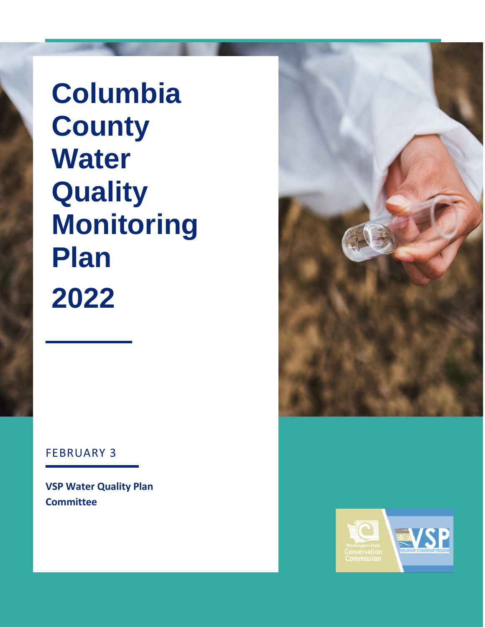**Columbia County Water Quality Monitoring Plan 2022**

# FEBRUARY 3

**VSP Water Quality Plan Committee**



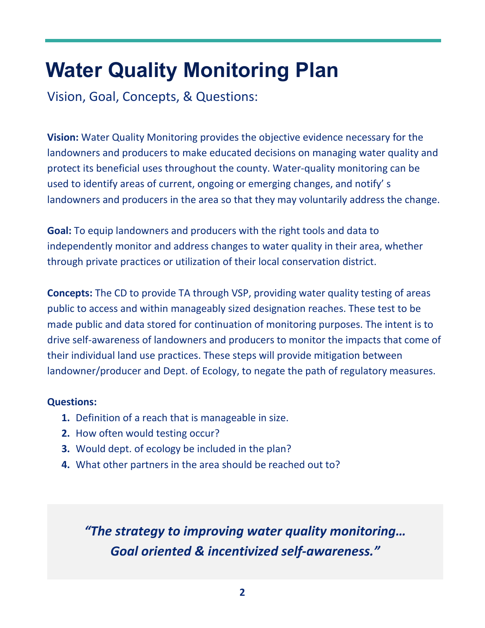# **Water Quality Monitoring Plan**

Vision, Goal, Concepts, & Questions:

**Vision:** Water Quality Monitoring provides the objective evidence necessary for the landowners and producers to make educated decisions on managing water quality and protect its beneficial uses throughout the county. Water-quality monitoring can be used to identify areas of current, ongoing or emerging changes, and notify' s landowners and producers in the area so that they may voluntarily address the change.

**Goal:** To equip landowners and producers with the right tools and data to independently monitor and address changes to water quality in their area, whether through private practices or utilization of their local conservation district.

**Concepts:** The CD to provide TA through VSP, providing water quality testing of areas public to access and within manageably sized designation reaches. These test to be made public and data stored for continuation of monitoring purposes. The intent is to drive self-awareness of landowners and producers to monitor the impacts that come of their individual land use practices. These steps will provide mitigation between landowner/producer and Dept. of Ecology, to negate the path of regulatory measures.

### **Questions:**

- **1.** Definition of a reach that is manageable in size.
- **2.** How often would testing occur?
- **3.** Would dept. of ecology be included in the plan?
- **4.** What other partners in the area should be reached out to?

*"The strategy to improving water quality monitoring… Goal oriented & incentivized self-awareness."*